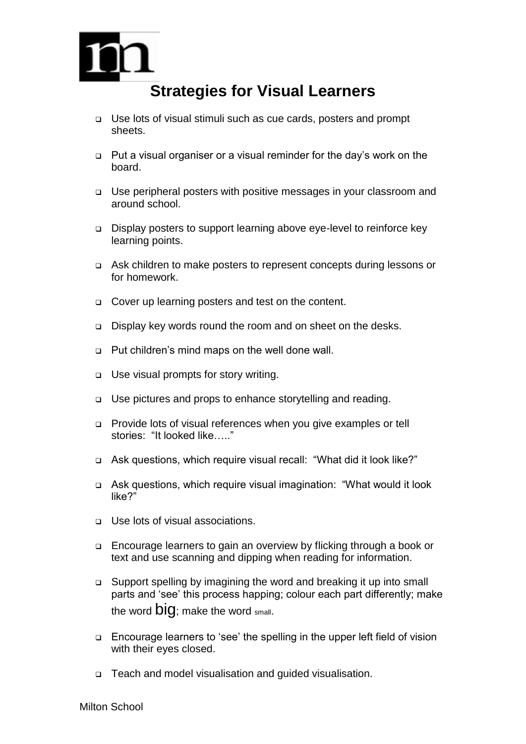

## **Strategies for Visual Learners**

- Use lots of visual stimuli such as cue cards, posters and prompt sheets.
- □ Put a visual organiser or a visual reminder for the day's work on the board.
- □ Use peripheral posters with positive messages in your classroom and around school.
- Display posters to support learning above eye-level to reinforce key learning points.
- Ask children to make posters to represent concepts during lessons or for homework.
- □ Cover up learning posters and test on the content.
- Display key words round the room and on sheet on the desks.
- Put children's mind maps on the well done wall.
- □ Use visual prompts for story writing.
- □ Use pictures and props to enhance storytelling and reading.
- Provide lots of visual references when you give examples or tell stories: "It looked like….."
- Ask questions, which require visual recall: "What did it look like?"
- Ask questions, which require visual imagination: "What would it look like?"
- □ Use lots of visual associations.
- Encourage learners to gain an overview by flicking through a book or text and use scanning and dipping when reading for information.
- Support spelling by imagining the word and breaking it up into small parts and 'see' this process happing; colour each part differently; make the word  $\mathbf{D} \mathbf{I} \mathbf{Q}$ ; make the word small.
- Encourage learners to 'see' the spelling in the upper left field of vision with their eyes closed.
- Teach and model visualisation and guided visualisation.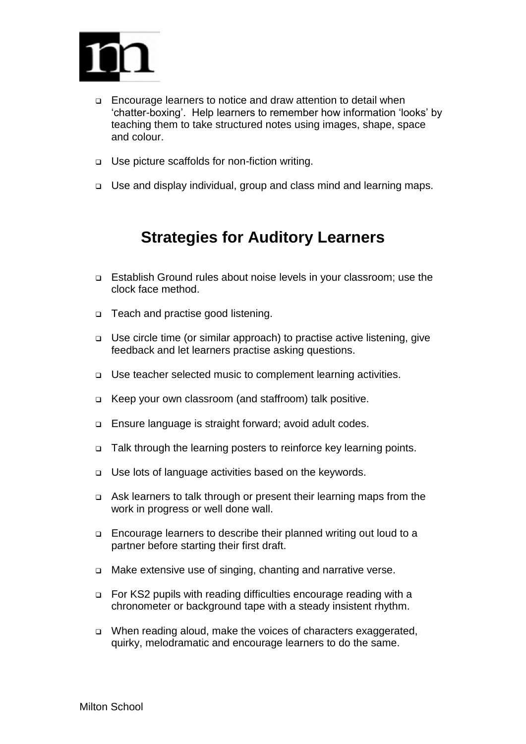

- Encourage learners to notice and draw attention to detail when 'chatter-boxing'. Help learners to remember how information 'looks' by teaching them to take structured notes using images, shape, space and colour.
- □ Use picture scaffolds for non-fiction writing.
- Use and display individual, group and class mind and learning maps.

## **Strategies for Auditory Learners**

- Establish Ground rules about noise levels in your classroom; use the clock face method.
- □ Teach and practise good listening.
- Use circle time (or similar approach) to practise active listening, give feedback and let learners practise asking questions.
- □ Use teacher selected music to complement learning activities.
- □ Keep your own classroom (and staffroom) talk positive.
- Ensure language is straight forward; avoid adult codes.
- $\Box$  Talk through the learning posters to reinforce key learning points.
- Use lots of language activities based on the keywords.
- Ask learners to talk through or present their learning maps from the work in progress or well done wall.
- Encourage learners to describe their planned writing out loud to a partner before starting their first draft.
- □ Make extensive use of singing, chanting and narrative verse.
- □ For KS2 pupils with reading difficulties encourage reading with a chronometer or background tape with a steady insistent rhythm.
- □ When reading aloud, make the voices of characters exaggerated, quirky, melodramatic and encourage learners to do the same.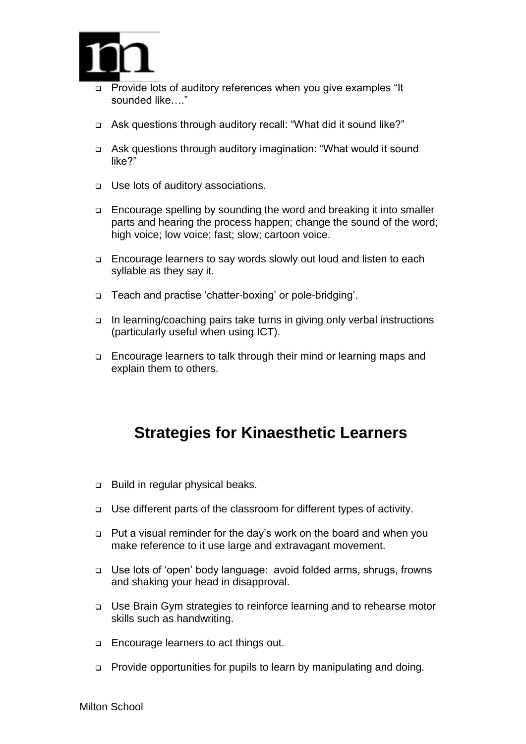

- Provide lots of auditory references when you give examples "It sounded like…."
- Ask questions through auditory recall: "What did it sound like?"
- Ask questions through auditory imagination: "What would it sound like?"
- Use lots of auditory associations.
- Encourage spelling by sounding the word and breaking it into smaller parts and hearing the process happen; change the sound of the word; high voice; low voice; fast; slow; cartoon voice.
- □ Encourage learners to say words slowly out loud and listen to each syllable as they say it.
- Teach and practise 'chatter-boxing' or pole-bridging'.
- $\Box$  In learning/coaching pairs take turns in giving only verbal instructions (particularly useful when using ICT).
- □ Encourage learners to talk through their mind or learning maps and explain them to others.

## **Strategies for Kinaesthetic Learners**

- □ Build in regular physical beaks.
- Use different parts of the classroom for different types of activity.
- Put a visual reminder for the day's work on the board and when you make reference to it use large and extravagant movement.
- Use lots of 'open' body language: avoid folded arms, shrugs, frowns and shaking your head in disapproval.
- □ Use Brain Gym strategies to reinforce learning and to rehearse motor skills such as handwriting.
- **Encourage learners to act things out.**
- □ Provide opportunities for pupils to learn by manipulating and doing.